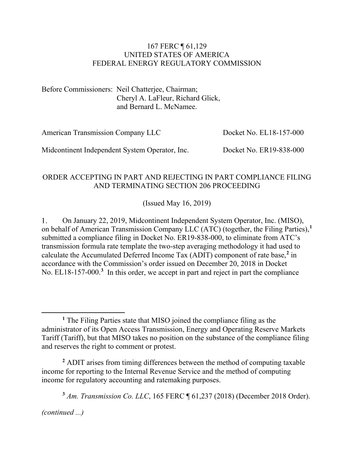#### 167 FERC ¶ 61,129 UNITED STATES OF AMERICA FEDERAL ENERGY REGULATORY COMMISSION

Before Commissioners: Neil Chatterjee, Chairman; Cheryl A. LaFleur, Richard Glick, and Bernard L. McNamee.

American Transmission Company LLC Docket No. EL18-157-000

Midcontinent Independent System Operator, Inc.

Docket No. ER19-838-000

#### ORDER ACCEPTING IN PART AND REJECTING IN PART COMPLIANCE FILING AND TERMINATING SECTION 206 PROCEEDING

(Issued May 16, 2019)

On January 22, 2019, Midcontinent Independent System Operator, Inc. (MISO),  $1<sub>1</sub>$ on behalf of American Transmission Company LLC (ATC) (together, the Filing Parties),**[1](#page-0-0)** submitted a compliance filing in Docket No. ER19-838-000, to eliminate from ATC's transmission formula rate template the two-step averaging methodology it had used to calculate the Accumulated Deferred Income Tax (ADIT) component of rate base, **[2](#page-0-1)** in accordance with the Commission's order issued on December 20, 2018 in Docket No. EL18-157-000.<sup>[3](#page-0-2)</sup> In this order, we accept in part and reject in part the compliance

**<sup>3</sup>** *Am. Transmission Co. LLC*, 165 FERC ¶ 61,237 (2018) (December 2018 Order).

<span id="page-0-2"></span>*(continued ...)*

<span id="page-0-0"></span>**<sup>1</sup>** The Filing Parties state that MISO joined the compliance filing as the administrator of its Open Access Transmission, Energy and Operating Reserve Markets Tariff (Tariff), but that MISO takes no position on the substance of the compliance filing and reserves the right to comment or protest.

<span id="page-0-1"></span>**<sup>2</sup>** ADIT arises from timing differences between the method of computing taxable income for reporting to the Internal Revenue Service and the method of computing income for regulatory accounting and ratemaking purposes.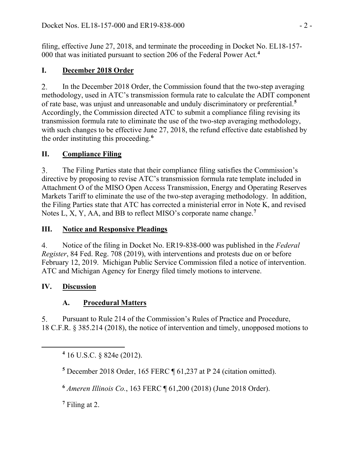filing, effective June 27, 2018, and terminate the proceeding in Docket No. EL18-157- 000 that was initiated pursuant to section 206 of the Federal Power Act. **[4](#page-1-0)**

### **I. December 2018 Order**

In the December 2018 Order, the Commission found that the two-step averaging  $2.$ methodology, used in ATC's transmission formula rate to calculate the ADIT component of rate base, was unjust and unreasonable and unduly discriminatory or preferential.**[5](#page-1-1)** Accordingly, the Commission directed ATC to submit a compliance filing revising its transmission formula rate to eliminate the use of the two-step averaging methodology, with such changes to be effective June 27, 2018, the refund effective date established by the order instituting this proceeding. **[6](#page-1-2)**

## **II. Compliance Filing**

 $3<sub>1</sub>$ The Filing Parties state that their compliance filing satisfies the Commission's directive by proposing to revise ATC's transmission formula rate template included in Attachment O of the MISO Open Access Transmission, Energy and Operating Reserves Markets Tariff to eliminate the use of the two-step averaging methodology. In addition, the Filing Parties state that ATC has corrected a ministerial error in Note K, and revised Notes L, X, Y, AA, and BB to reflect MISO's corporate name change.**[7](#page-1-3)**

#### **III. Notice and Responsive Pleadings**

 $4.$ Notice of the filing in Docket No. ER19-838-000 was published in the *Federal Register*, 84 Fed. Reg. 708 (2019), with interventions and protests due on or before February 12, 2019. Michigan Public Service Commission filed a notice of intervention. ATC and Michigan Agency for Energy filed timely motions to intervene.

#### **IV. Discussion**

<span id="page-1-2"></span><span id="page-1-1"></span><span id="page-1-0"></span> $\overline{a}$ 

# **A. Procedural Matters**

 $5<sub>1</sub>$ Pursuant to Rule 214 of the Commission's Rules of Practice and Procedure, 18 C.F.R. § 385.214 (2018), the notice of intervention and timely, unopposed motions to

**<sup>4</sup>** 16 U.S.C. § 824e (2012).

**<sup>5</sup>** December 2018 Order, 165 FERC ¶ 61,237 at P 24 (citation omitted).

**<sup>6</sup>** *Ameren Illinois Co.*, 163 FERC ¶ 61,200 (2018) (June 2018 Order).

<span id="page-1-3"></span>**<sup>7</sup>** Filing at 2.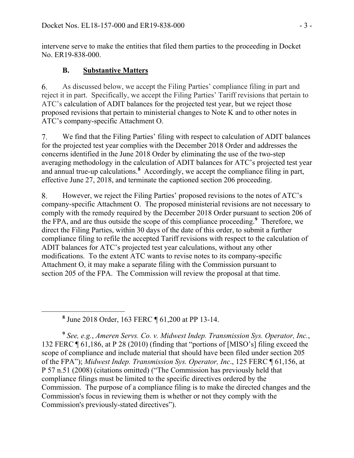intervene serve to make the entities that filed them parties to the proceeding in Docket No. ER19-838-000.

## **B. Substantive Matters**

As discussed below, we accept the Filing Parties' compliance filing in part and 6. reject it in part. Specifically, we accept the Filing Parties' Tariff revisions that pertain to ATC's calculation of ADIT balances for the projected test year, but we reject those proposed revisions that pertain to ministerial changes to Note K and to other notes in ATC's company-specific Attachment O.

7. We find that the Filing Parties' filing with respect to calculation of ADIT balances for the projected test year complies with the December 2018 Order and addresses the concerns identified in the June 2018 Order by eliminating the use of the two-step averaging methodology in the calculation of ADIT balances for ATC's projected test year and annual true-up calculations. **[8](#page-2-0)** Accordingly, we accept the compliance filing in part, effective June 27, 2018, and terminate the captioned section 206 proceeding.

However, we reject the Filing Parties' proposed revisions to the notes of ATC's 8. company-specific Attachment O. The proposed ministerial revisions are not necessary to comply with the remedy required by the December 2018 Order pursuant to section 206 of the FPA, and are thus outside the scope of this compliance proceeding.**[9](#page-2-1)** Therefore, we direct the Filing Parties, within 30 days of the date of this order, to submit a further compliance filing to refile the accepted Tariff revisions with respect to the calculation of ADIT balances for ATC's projected test year calculations, without any other modifications. To the extent ATC wants to revise notes to its company-specific Attachment O, it may make a separate filing with the Commission pursuant to section 205 of the FPA. The Commission will review the proposal at that time.

**<sup>8</sup>** June 2018 Order, 163 FERC ¶ 61,200 at PP 13-14.

<span id="page-2-0"></span> $\overline{a}$ 

<span id="page-2-1"></span>**<sup>9</sup>** *See, e.g.*, *Ameren Servs. Co. v. Midwest Indep. Transmission Sys. Operator, Inc.*, 132 FERC ¶ 61,186, at P 28 (2010) (finding that "portions of [MISO's] filing exceed the scope of compliance and include material that should have been filed under section 205 of the FPA"); *[Midwest Indep. Transmission Sys. Operator, Inc](http://www.westlaw.com/Link/Document/FullText?findType=Y&serNum=2017431897&pubNum=0000920&originatingDoc=I46be92ebef1e11e5a795ac035416da91&refType=CA&originationContext=document&vr=3.0&rs=cblt1.0&transitionType=DocumentItem&contextData=(sc.Search))*., 125 FERC ¶ 61,156, at P 57 n.51 (2008) (citations omitted) ("The Commission has previously held that compliance filings must be limited to the specific directives ordered by the Commission. The purpose of a compliance filing is to make the directed changes and the Commission's focus in reviewing them is whether or not they comply with the Commission's previously-stated directives").